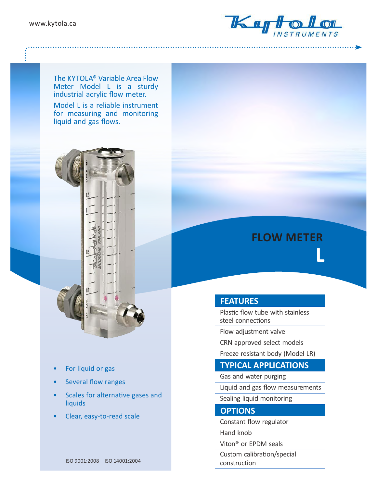www.kytola.ca



The KYTOLA® Variable Area Flow Meter Model L is a sturdy industrial acrylic flow meter.

Model L is a reliable instrument for measuring and monitoring liquid and gas flows.



- For liquid or gas
- Several flow ranges
- Scales for alternative gases and liquids
- Clear, easy-to-read scale

# **FLOW METER L**

## **FEATURES**

Plastic flow tube with stainless steel connections

Flow adjustment valvе

CRN approved select models

Freeze resistant body (Model LR)

## **TYPICAL APPLICATIONS**

Gas and water purging

Liquid and gas flow measurements

Sealing liquid monitoring

### **OPTIONS**

Constant flow regulator

Hand knob

Viton® or EPDM seals

Custom calibration/special construction

ISO 9001:2008 ISO 14001:2004